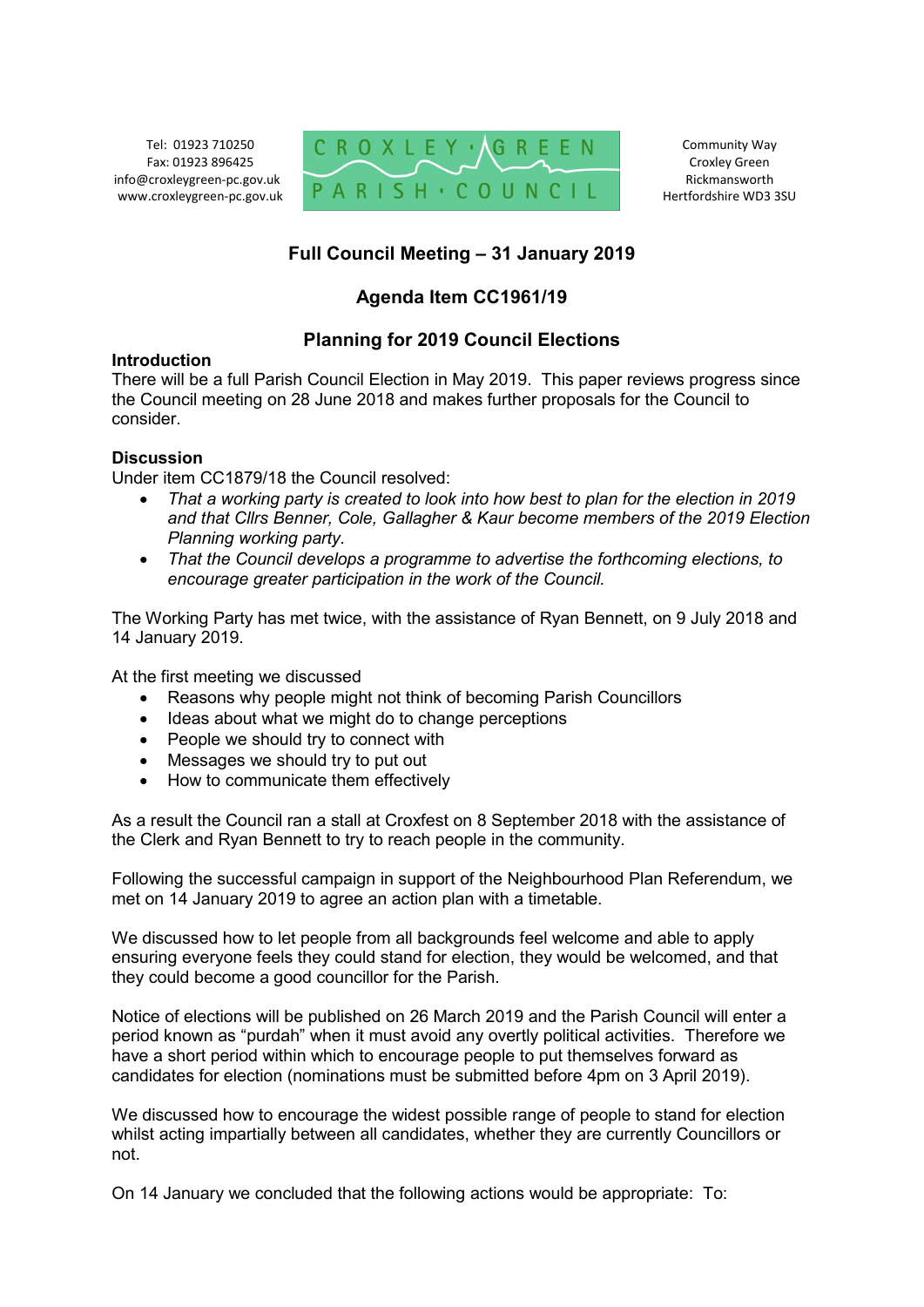Tel: 01923 710250 Fax: 01923 896425 info@croxleygreen-pc.gov.uk www.croxleygreen-pc.gov.uk



Community Way Croxley Green Rickmansworth Hertfordshire WD3 3SU

# **Full Council Meeting – 31 January 2019**

# **Agenda Item CC1961/19**

## **Planning for 2019 Council Elections**

#### **Introduction**

There will be a full Parish Council Election in May 2019. This paper reviews progress since the Council meeting on 28 June 2018 and makes further proposals for the Council to consider.

### **Discussion**

Under item CC1879/18 the Council resolved:

- *That a working party is created to look into how best to plan for the election in 2019 and that Cllrs Benner, Cole, Gallagher & Kaur become members of the 2019 Election Planning working party.*
- *That the Council develops a programme to advertise the forthcoming elections, to encourage greater participation in the work of the Council.*

The Working Party has met twice, with the assistance of Ryan Bennett, on 9 July 2018 and 14 January 2019.

At the first meeting we discussed

- Reasons why people might not think of becoming Parish Councillors
- Ideas about what we might do to change perceptions
- People we should try to connect with
- Messages we should try to put out
- How to communicate them effectively

As a result the Council ran a stall at Croxfest on 8 September 2018 with the assistance of the Clerk and Ryan Bennett to try to reach people in the community.

Following the successful campaign in support of the Neighbourhood Plan Referendum, we met on 14 January 2019 to agree an action plan with a timetable.

We discussed how to let people from all backgrounds feel welcome and able to apply ensuring everyone feels they could stand for election, they would be welcomed, and that they could become a good councillor for the Parish.

Notice of elections will be published on 26 March 2019 and the Parish Council will enter a period known as "purdah" when it must avoid any overtly political activities. Therefore we have a short period within which to encourage people to put themselves forward as candidates for election (nominations must be submitted before 4pm on 3 April 2019).

We discussed how to encourage the widest possible range of people to stand for election whilst acting impartially between all candidates, whether they are currently Councillors or not.

On 14 January we concluded that the following actions would be appropriate: To: